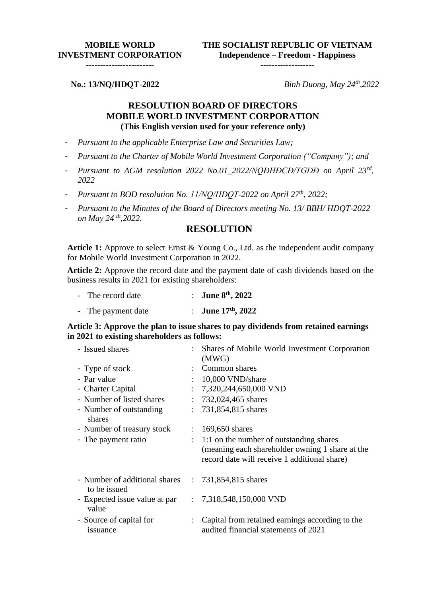## **MOBILE WORLD INVESTMENT CORPORATION**

**THE SOCIALIST REPUBLIC OF VIETNAM Independence – Freedom - Happiness**

-------------------

------------------------

**No.: 13/NQ/HĐQT-2022**

*Binh Duong, May 24 th ,2022*

## **RESOLUTION BOARD OF DIRECTORS MOBILE WORLD INVESTMENT CORPORATION (This English version used for your reference only)**

- *Pursuant to the applicable Enterprise Law and Securities Law;*
- *Pursuant to the Charter of Mobile World Investment Corporation ("Company"); and*
- *Pursuant to AGM resolution 2022 No.01\_2022/NQĐHĐCĐ/TGDĐ on April 23rd , 2022*
- *Pursuant to BOD resolution No. 11/NQ/HĐQT-2022 on April 27th, 2022;*
- *Pursuant to the Minutes of the Board of Directors meeting No. 13/ BBH/ HĐQT-2022 on May 24 th ,2022.*

## **RESOLUTION**

**Article 1:** Approve to select Ernst & Young Co., Ltd. as the independent audit company for Mobile World Investment Corporation in 2022.

**Article 2:** Approve the record date and the payment date of cash dividends based on the business results in 2021 for existing shareholders:

| The record date | : June $8^{th}$ , 2022 |
|-----------------|------------------------|
|                 |                        |

|  | The payment date | June 17th, 2022 |  |
|--|------------------|-----------------|--|
|--|------------------|-----------------|--|

**Article 3: Approve the plan to issue shares to pay dividends from retained earnings in 2021 to existing shareholders as follows:**

| - Issued shares                               | $\ddot{\phantom{0}}$      | Shares of Mobile World Investment Corporation<br>(MWG)                                                                                     |
|-----------------------------------------------|---------------------------|--------------------------------------------------------------------------------------------------------------------------------------------|
| - Type of stock                               |                           | Common shares                                                                                                                              |
| - Par value                                   |                           | 10,000 VND/share                                                                                                                           |
| - Charter Capital                             |                           | 7,320,244,650,000 VND                                                                                                                      |
| - Number of listed shares                     | $\mathcal{L}$             | 732,024,465 shares                                                                                                                         |
| - Number of outstanding<br>shares             | $\mathbb{R}^{\mathbb{Z}}$ | 731,854,815 shares                                                                                                                         |
| - Number of treasury stock                    | $\ddot{\phantom{0}}$      | 169,650 shares                                                                                                                             |
| - The payment ratio                           | $\mathbb{R}^{\mathbb{Z}}$ | 1:1 on the number of outstanding shares<br>(meaning each shareholder owning 1 share at the<br>record date will receive 1 additional share) |
| - Number of additional shares<br>to be issued |                           | : $731,854,815$ shares                                                                                                                     |
| - Expected issue value at par<br>value        |                           | $: 7,318,548,150,000$ VND                                                                                                                  |
| - Source of capital for<br>issuance           |                           | Capital from retained earnings according to the<br>audited financial statements of 2021                                                    |